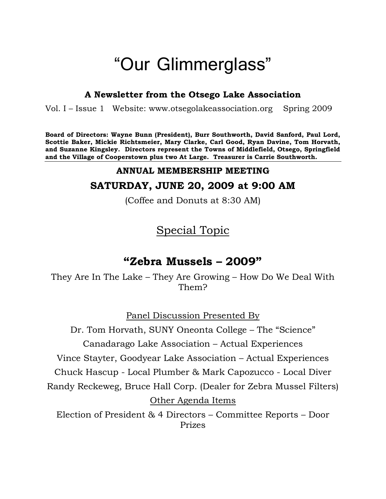# "Our Glimmerglass"

# **A Newsletter from the Otsego Lake Association**

Vol. I – Issue 1 Website: [www.otsegolakeassociation.](http://www.otsegolakeassociation/)org Spring 2009

**Board of Directors: Wayne Bunn (President), Burr Southworth, David Sanford, Paul Lord, Scottie Baker, Mickie Richtsmeier, Mary Clarke, Carl Good, Ryan Davine, Tom Horvath, and Suzanne Kingsley. Directors represent the Towns of Middlefield, Otsego, Springfield and the Village of Cooperstown plus two At Large. Treasurer is Carrie Southworth.**

# **ANNUAL MEMBERSHIP MEETING**

# **SATURDAY, JUNE 20, 2009 at 9:00 AM**

(Coffee and Donuts at 8:30 AM)

# Special Topic

# **"Zebra Mussels – 2009"**

They Are In The Lake – They Are Growing – How Do We Deal With Them?

Panel Discussion Presented By

Dr. Tom Horvath, SUNY Oneonta College – The "Science" Canadarago Lake Association – Actual Experiences Vince Stayter, Goodyear Lake Association – Actual Experiences Chuck Hascup - Local Plumber & Mark Capozucco - Local Diver Randy Reckeweg, Bruce Hall Corp. (Dealer for Zebra Mussel Filters) Other Agenda Items Election of President & 4 Directors – Committee Reports – Door Prizes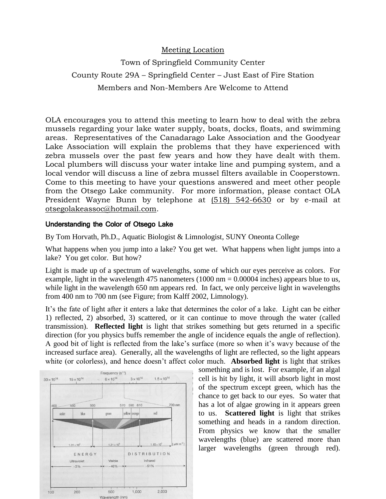#### Meeting Location

# Town of Springfield Community Center County Route 29A – Springfield Center – Just East of Fire Station Members and Non-Members Are Welcome to Attend

OLA encourages you to attend this meeting to learn how to deal with the zebra mussels regarding your lake water supply, boats, docks, floats, and swimming areas. Representatives of the Canadarago Lake Association and the Goodyear Lake Association will explain the problems that they have experienced with zebra mussels over the past few years and how they have dealt with them. Local plumbers will discuss your water intake line and pumping system, and a local vendor will discuss a line of zebra mussel filters available in Cooperstown. Come to this meeting to have your questions answered and meet other people from the Otsego Lake community. For more information, please contact OLA President Wayne Bunn by telephone at (518) 542-6630 or by e-mail at otsegolakeassoc@hotmail.com.

#### Understanding the Color of Otsego Lake

By Tom Horvath, Ph.D., Aquatic Biologist & Limnologist, SUNY Oneonta College

What happens when you jump into a lake? You get wet. What happens when light jumps into a lake? You get color. But how?

Light is made up of a spectrum of wavelengths, some of which our eyes perceive as colors. For example, light in the wavelength 475 nanometers  $(1000 \text{ nm} = 0.00004 \text{ inches})$  appears blue to us, while light in the wavelength 650 nm appears red. In fact, we only perceive light in wavelengths from 400 nm to 700 nm (see Figure; from Kalff 2002, Limnology).

It's the fate of light after it enters a lake that determines the color of a lake. Light can be either 1) reflected, 2) absorbed, 3) scattered, or it can continue to move through the water (called transmission). **Reflected light** is light that strikes something but gets returned in a specific direction (for you physics buffs remember the angle of incidence equals the angle of reflection). A good bit of light is reflected from the lake's surface (more so when it's wavy because of the increased surface area). Generally, all the wavelengths of light are reflected, so the light appears white (or colorless), and hence doesn't affect color much. **Absorbed light** is light that strikes



something and is lost. For example, if an algal cell is hit by light, it will absorb light in most of the spectrum except green, which has the chance to get back to our eyes. So water that has a lot of algae growing in it appears green to us. **Scattered light** is light that strikes something and heads in a random direction. From physics we know that the smaller wavelengths (blue) are scattered more than larger wavelengths (green through red).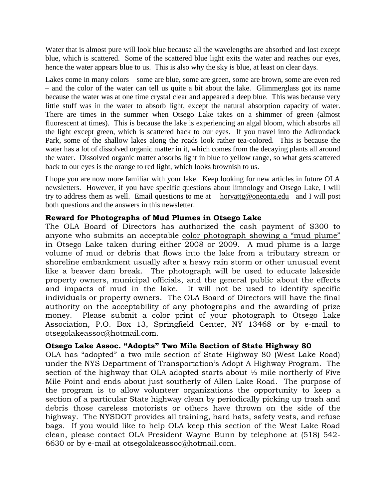Water that is almost pure will look blue because all the wavelengths are absorbed and lost except blue, which is scattered. Some of the scattered blue light exits the water and reaches our eyes, hence the water appears blue to us. This is also why the sky is blue, at least on clear days.

Lakes come in many colors – some are blue, some are green, some are brown, some are even red – and the color of the water can tell us quite a bit about the lake. Glimmerglass got its name because the water was at one time crystal clear and appeared a deep blue. This was because very little stuff was in the water to absorb light, except the natural absorption capacity of water. There are times in the summer when Otsego Lake takes on a shimmer of green (almost fluorescent at times). This is because the lake is experiencing an algal bloom, which absorbs all the light except green, which is scattered back to our eyes. If you travel into the Adirondack Park, some of the shallow lakes along the roads look rather tea-colored. This is because the water has a lot of dissolved organic matter in it, which comes from the decaying plants all around the water. Dissolved organic matter absorbs light in blue to yellow range, so what gets scattered back to our eyes is the orange to red light, which looks brownish to us.

I hope you are now more familiar with your lake. Keep looking for new articles in future OLA newsletters. However, if you have specific questions about limnology and Otsego Lake, I will try to address them as well. Email questions to me at [horvattg@oneonta.edu](mailto:horvattg@oneonta.edu) and I will post both questions and the answers in this newsletter.

#### **Reward for Photographs of Mud Plumes in Otsego Lake**

The OLA Board of Directors has authorized the cash payment of \$300 to anyone who submits an acceptable color photograph showing a "mud plume" in Otsego Lake taken during either 2008 or 2009. A mud plume is a large volume of mud or debris that flows into the lake from a tributary stream or shoreline embankment usually after a heavy rain storm or other unusual event like a beaver dam break. The photograph will be used to educate lakeside property owners, municipal officials, and the general public about the effects and impacts of mud in the lake. It will not be used to identify specific individuals or property owners. The OLA Board of Directors will have the final authority on the acceptability of any photographs and the awarding of prize money. Please submit a color print of your photograph to Otsego Lake Association, P.O. Box 13, Springfield Center, NY 13468 or by e-mail to otsegolakeassoc@hotmail.com.

# **Otsego Lake Assoc. "Adopts" Two Mile Section of State Highway 80**

OLA has "adopted" a two mile section of State Highway 80 (West Lake Road) under the NYS Department of Transportation's Adopt A Highway Program. The section of the highway that OLA adopted starts about ½ mile northerly of Five Mile Point and ends about just southerly of Allen Lake Road. The purpose of the program is to allow volunteer organizations the opportunity to keep a section of a particular State highway clean by periodically picking up trash and debris those careless motorists or others have thrown on the side of the highway. The NYSDOT provides all training, hard hats, safety vests, and refuse bags. If you would like to help OLA keep this section of the West Lake Road clean, please contact OLA President Wayne Bunn by telephone at (518) 542- 6630 or by e-mail at otsegolakeassoc@hotmail.com.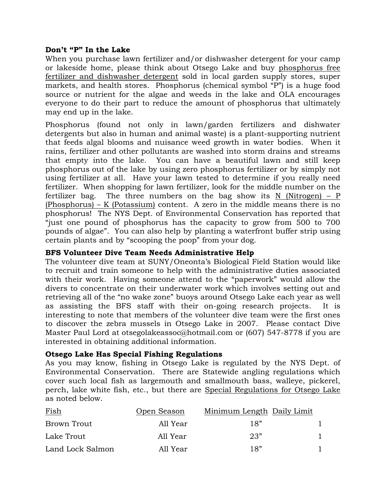#### **Don't "P" In the Lake**

When you purchase lawn fertilizer and/or dishwasher detergent for your camp or lakeside home, please think about Otsego Lake and buy phosphorus free fertilizer and dishwasher detergent sold in local garden supply stores, super markets, and health stores. Phosphorus (chemical symbol "P") is a huge food source or nutrient for the algae and weeds in the lake and OLA encourages everyone to do their part to reduce the amount of phosphorus that ultimately may end up in the lake.

Phosphorus (found not only in lawn/garden fertilizers and dishwater detergents but also in human and animal waste) is a plant-supporting nutrient that feeds algal blooms and nuisance weed growth in water bodies. When it rains, fertilizer and other pollutants are washed into storm drains and streams that empty into the lake. You can have a beautiful lawn and still keep phosphorus out of the lake by using zero phosphorus fertilizer or by simply not using fertilizer at all. Have your lawn tested to determine if you really need fertilizer. When shopping for lawn fertilizer, look for the middle number on the fertilizer bag. The three numbers on the bag show its  $N$  (Nitrogen) –  $P$ (Phosphorus) – K (Potassium) content. A zero in the middle means there is no phosphorus! The NYS Dept. of Environmental Conservation has reported that "just one pound of phosphorus has the capacity to grow from 500 to 700 pounds of algae". You can also help by planting a waterfront buffer strip using certain plants and by "scooping the poop" from your dog.

#### **BFS Volunteer Dive Team Needs Administrative Help**

The volunteer dive team at SUNY/Oneonta's Biological Field Station would like to recruit and train someone to help with the administrative duties associated with their work. Having someone attend to the "paperwork" would allow the divers to concentrate on their underwater work which involves setting out and retrieving all of the "no wake zone" buoys around Otsego Lake each year as well as assisting the BFS staff with their on-going research projects. It is interesting to note that members of the volunteer dive team were the first ones to discover the zebra mussels in Otsego Lake in 2007. Please contact Dive Master Paul Lord at [otsegolakeassoc@hotmail.com](mailto:otsegolakeassoc@hotmail.com) or (607) 547-8778 if you are interested in obtaining additional information.

#### **Otsego Lake Has Special Fishing Regulations**

As you may know, fishing in Otsego Lake is regulated by the NYS Dept. of Environmental Conservation. There are Statewide angling regulations which cover such local fish as largemouth and smallmouth bass, walleye, pickerel, perch, lake white fish, etc., but there are Special Regulations for Otsego Lake as noted below.

| Fish             | Open Season | Minimum Length Daily Limit |  |
|------------------|-------------|----------------------------|--|
| Brown Trout      | All Year    | 18"                        |  |
| Lake Trout       | All Year    | 23"                        |  |
| Land Lock Salmon | All Year    | 18"                        |  |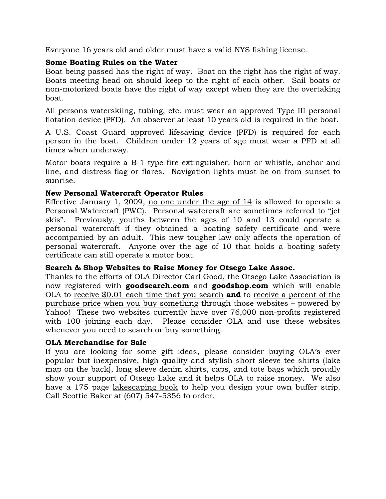Everyone 16 years old and older must have a valid NYS fishing license.

# **Some Boating Rules on the Water**

Boat being passed has the right of way. Boat on the right has the right of way. Boats meeting head on should keep to the right of each other. Sail boats or non-motorized boats have the right of way except when they are the overtaking boat.

All persons waterskiing, tubing, etc. must wear an approved Type III personal flotation device (PFD). An observer at least 10 years old is required in the boat.

A U.S. Coast Guard approved lifesaving device (PFD) is required for each person in the boat. Children under 12 years of age must wear a PFD at all times when underway.

Motor boats require a B-1 type fire extinguisher, horn or whistle, anchor and line, and distress flag or flares. Navigation lights must be on from sunset to sunrise.

# **New Personal Watercraft Operator Rules**

Effective January 1, 2009, no one under the age of 14 is allowed to operate a Personal Watercraft (PWC). Personal watercraft are sometimes referred to "jet skis". Previously, youths between the ages of 10 and 13 could operate a personal watercraft if they obtained a boating safety certificate and were accompanied by an adult. This new tougher law only affects the operation of personal watercraft. Anyone over the age of 10 that holds a boating safety certificate can still operate a motor boat.

# **Search & Shop Websites to Raise Money for Otsego Lake Assoc.**

Thanks to the efforts of OLA Director Carl Good, the Otsego Lake Association is now registered with **goodsearch.com** and **goodshop.com** which will enable OLA to receive \$0.01 each time that you search **and** to receive a percent of the purchase price when you buy something through those websites – powered by Yahoo! These two websites currently have over 76,000 non-profits registered with 100 joining each day. Please consider OLA and use these websites whenever you need to search or buy something.

# **OLA Merchandise for Sale**

If you are looking for some gift ideas, please consider buying OLA's ever popular but inexpensive, high quality and stylish short sleeve tee shirts (lake map on the back), long sleeve denim shirts, caps, and tote bags which proudly show your support of Otsego Lake and it helps OLA to raise money. We also have a 175 page lakescaping book to help you design your own buffer strip. Call Scottie Baker at (607) 547-5356 to order.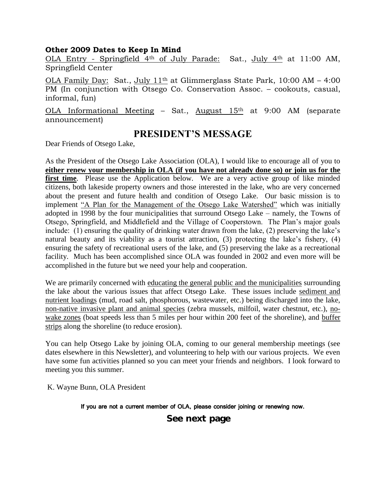#### **Other 2009 Dates to Keep In Mind**

OLA Entry - Springfield 4th of July Parade: Sat., July 4th at 11:00 AM, Springfield Center

OLA Family Day: Sat., July 1<sup>1th</sup> at Glimmerglass State Park, 10:00 AM - 4:00 PM (In conjunction with Otsego Co. Conservation Assoc. – cookouts, casual, informal, fun)

OLA Informational Meeting – Sat., August  $15<sup>th</sup>$  at 9:00 AM (separate announcement)

# **PRESIDENT'S MESSAGE**

Dear Friends of Otsego Lake,

As the President of the Otsego Lake Association (OLA), I would like to encourage all of you to **either renew your membership in OLA (if you have not already done so) or join us for the first time**. Please use the Application below. We are a very active group of like minded citizens, both lakeside property owners and those interested in the lake, who are very concerned about the present and future health and condition of Otsego Lake. Our basic mission is to implement "A Plan for the Management of the Otsego Lake Watershed" which was initially adopted in 1998 by the four municipalities that surround Otsego Lake – namely, the Towns of Otsego, Springfield, and Middlefield and the Village of Cooperstown. The Plan's major goals include: (1) ensuring the quality of drinking water drawn from the lake, (2) preserving the lake's natural beauty and its viability as a tourist attraction, (3) protecting the lake's fishery, (4) ensuring the safety of recreational users of the lake, and (5) preserving the lake as a recreational facility. Much has been accomplished since OLA was founded in 2002 and even more will be accomplished in the future but we need your help and cooperation.

We are primarily concerned with educating the general public and the municipalities surrounding the lake about the various issues that affect Otsego Lake. These issues include sediment and nutrient loadings (mud, road salt, phosphorous, wastewater, etc.) being discharged into the lake, non-native invasive plant and animal species (zebra mussels, milfoil, water chestnut, etc.), nowake zones (boat speeds less than 5 miles per hour within 200 feet of the shoreline), and buffer strips along the shoreline (to reduce erosion).

You can help Otsego Lake by joining OLA, coming to our general membership meetings (see dates elsewhere in this Newsletter), and volunteering to help with our various projects. We even have some fun activities planned so you can meet your friends and neighbors. I look forward to meeting you this summer.

K. Wayne Bunn, OLA President

If you are not a current member of OLA, please consider joining or renewing now.

# **See next page**